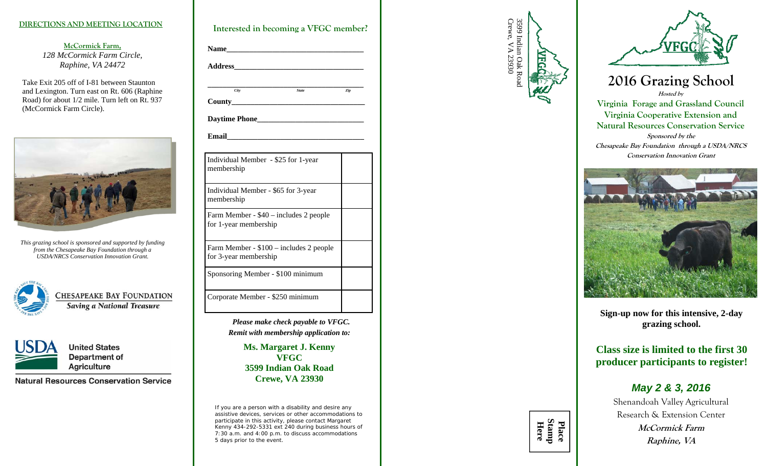### **DIRECTIONS AND MEETING LOCATION**

**McCormick Farm,**  *128 McCormick Farm Circle, Raphine, VA 24472* 

Take Exit 205 off of I-81 between Staunton and Lexington. Turn east on Rt. 606 (Raphine Road) for about 1/2 mile. Turn left on Rt. 937 (McCormick Farm Circle).



*This grazing school is sponsored and supported by funding from the Chesapeake Bay Foundation through a USDA/NRCS Conservation Innovation Grant.* 



CHESAPEAKE BAY FOUNDATION **Saving a National Treasure** 



**United States Department of Agriculture** 

**Natural Resources Conservation Service** 

| Address and the state of the state of the state of the state of the state of the state of the state of the state of the state of the state of the state of the state of the state of the state of the state of the state of th |              |     |
|--------------------------------------------------------------------------------------------------------------------------------------------------------------------------------------------------------------------------------|--------------|-----|
| <b>City</b>                                                                                                                                                                                                                    | <b>State</b> | Ziv |
|                                                                                                                                                                                                                                |              |     |
|                                                                                                                                                                                                                                |              |     |
| Email 2008 - 2008 - 2010 - 2010 - 2010 - 2010 - 2011 - 2012 - 2012 - 2013 - 2014 - 2014 - 2014 - 2014 - 2014 -                                                                                                                 |              |     |
| Individual Member - \$25 for 1-year<br>membership                                                                                                                                                                              |              |     |
| Individual Member - \$65 for 3-year<br>membership                                                                                                                                                                              |              |     |
| Farm Member - \$40 - includes 2 people<br>for 1-year membership                                                                                                                                                                |              |     |
| Farm Member - \$100 - includes 2 people<br>for 3-year membership                                                                                                                                                               |              |     |
| Sponsoring Member - \$100 minimum                                                                                                                                                                                              |              |     |
| Corporate Member - \$250 minimum                                                                                                                                                                                               |              |     |

*Please make check payable to VFGC. Remit with membership application to:*

> **Ms. Margaret J. Kenny VFGC 3599 Indian Oak Road Crewe, VA 23930**

*If you are a person with a disability and desire any assistive devices, services or other accommodations to participate in this activity, please contact Margaret Kenny 434-292-5331 ext 240 during business hours of 7:30 a.m. and 4:00 p.m. to discuss accommodations 5 days prior to the event.* 





**2016 Grazing School Hosted by Virginia Forage and Grassland Council Virginia Cooperative Extension and Natural Resources Conservation Service Sponsored by the Chesapeake Bay Foundation through a USDA/NRCS Conservation Innovation Grant** 



**Sign-up now for this intensive, 2-day grazing school.** 

**Class size is limited to the first 30 producer participants to register!** 

## *May 2 & 3, 2016*

Shenandoah Valley Agricultural Research & Extension Center **McCormick Farm Raphine, VA**